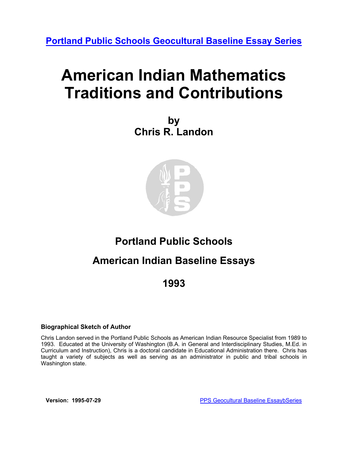<span id="page-0-0"></span>**[Portland Public Schools Geocultural Baseline Essay Series](http://www.pps.k12.or.us/district/depts/mc-me/essays.shtml)**

# **American Indian Mathematics Traditions and Contributions**

**by Chris R. Landon** 



## **Portland Public Schools**

## **American Indian Baseline Essays**

**1993**

### **Biographical Sketch of Author**

Chris Landon served in the Portland Public Schools as American Indian Resource Specialist from 1989 to 1993. Educated at the University of Washington (B.A. in General and Interdisciplinary Studies, M.Ed. in Curriculum and Instruction), Chris is a doctoral candidate in Educational Administration there. Chris has taught a variety of subjects as well as serving as an administrator in public and tribal schools in Washington state.

**Version: 1995-07-29** [PPS Geocultural Baseline EssaybSeries](http://www.pps.k12.or.us/district/depts/mc-me/essays.shtml)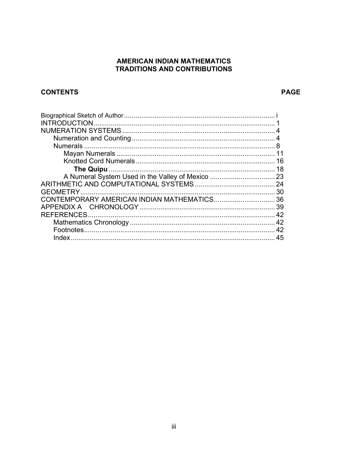### **AMERICAN INDIAN MATHEMATICS TRADITIONS AND CONTRIBUTIONS**

## **CONTENTS**

**PAGE** 

|        | 16 |
|--------|----|
|        |    |
|        |    |
|        |    |
|        | 30 |
|        | 36 |
|        |    |
|        |    |
|        | 42 |
|        | 42 |
| Index. | 45 |
|        |    |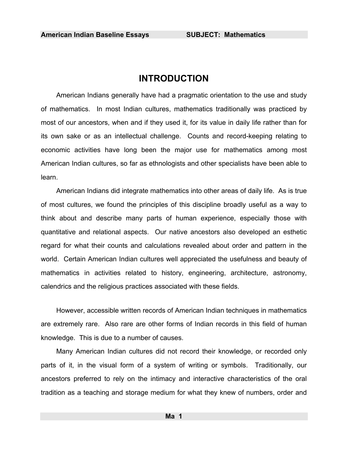## **INTRODUCTION**

<span id="page-2-0"></span>American Indians generally have had a pragmatic orientation to the use and study of mathematics. In most Indian cultures, mathematics traditionally was practiced by most of our ancestors, when and if they used it, for its value in daily life rather than for its own sake or as an intellectual challenge. Counts and record-keeping relating to economic activities have long been the major use for mathematics among most American Indian cultures, so far as ethnologists and other specialists have been able to learn.

American Indians did integrate mathematics into other areas of daily life. As is true of most cultures, we found the principles of this discipline broadly useful as a way to think about and describe many parts of human experience, especially those with quantitative and relational aspects. Our native ancestors also developed an esthetic regard for what their counts and calculations revealed about order and pattern in the world. Certain American Indian cultures well appreciated the usefulness and beauty of mathematics in activities related to history, engineering, architecture, astronomy, calendrics and the religious practices associated with these fields.

However, accessible written records of American Indian techniques in mathematics are extremely rare. Also rare are other forms of Indian records in this field of human knowledge. This is due to a number of causes.

Many American Indian cultures did not record their knowledge, or recorded only parts of it, in the visual form of a system of writing or symbols. Traditionally, our ancestors preferred to rely on the intimacy and interactive characteristics of the oral tradition as a teaching and storage medium for what they knew of numbers, order and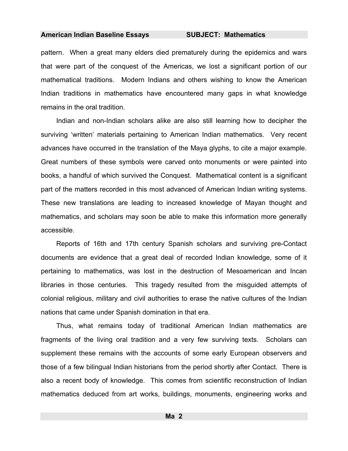pattern. When a great many elders died prematurely during the epidemics and wars that were part of the conquest of the Americas, we lost a significant portion of our mathematical traditions. Modern Indians and others wishing to know the American Indian traditions in mathematics have encountered many gaps in what knowledge remains in the oral tradition.

Indian and non-Indian scholars alike are also still learning how to decipher the surviving 'written' materials pertaining to American Indian mathematics. Very recent advances have occurred in the translation of the Maya glyphs, to cite a major example. Great numbers of these symbols were carved onto monuments or were painted into books, a handful of which survived the Conquest. Mathematical content is a significant part of the matters recorded in this most advanced of American Indian writing systems. These new translations are leading to increased knowledge of Mayan thought and mathematics, and scholars may soon be able to make this information more generally accessible.

Reports of 16th and 17th century Spanish scholars and surviving pre-Contact documents are evidence that a great deal of recorded Indian knowledge, some of it pertaining to mathematics, was lost in the destruction of Mesoamerican and Incan libraries in those centuries. This tragedy resulted from the misguided attempts of colonial religious, military and civil authorities to erase the native cultures of the Indian nations that came under Spanish domination in that era.

Thus, what remains today of traditional American Indian mathematics are fragments of the living oral tradition and a very few surviving texts. Scholars can supplement these remains with the accounts of some early European observers and those of a few bilingual Indian historians from the period shortly after Contact. There is also a recent body of knowledge. This comes from scientific reconstruction of Indian mathematics deduced from art works, buildings, monuments, engineering works and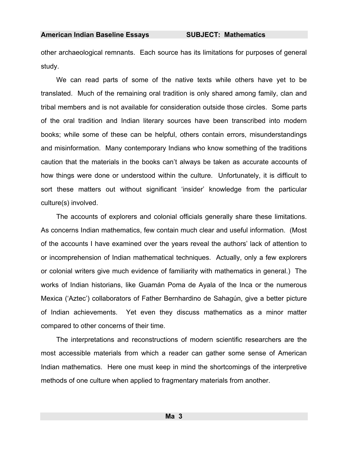other archaeological remnants. Each source has its limitations for purposes of general study.

We can read parts of some of the native texts while others have yet to be translated. Much of the remaining oral tradition is only shared among family, clan and tribal members and is not available for consideration outside those circles. Some parts of the oral tradition and Indian literary sources have been transcribed into modern books; while some of these can be helpful, others contain errors, misunderstandings and misinformation. Many contemporary Indians who know something of the traditions caution that the materials in the books can't always be taken as accurate accounts of how things were done or understood within the culture. Unfortunately, it is difficult to sort these matters out without significant 'insider' knowledge from the particular culture(s) involved.

The accounts of explorers and colonial officials generally share these limitations. As concerns Indian mathematics, few contain much clear and useful information. (Most of the accounts I have examined over the years reveal the authors' lack of attention to or incomprehension of Indian mathematical techniques. Actually, only a few explorers or colonial writers give much evidence of familiarity with mathematics in general.) The works of Indian historians, like Guamán Poma de Ayala of the Inca or the numerous Mexica ('Aztec') collaborators of Father Bernhardino de Sahagún, give a better picture of Indian achievements. Yet even they discuss mathematics as a minor matter compared to other concerns of their time.

The interpretations and reconstructions of modern scientific researchers are the most accessible materials from which a reader can gather some sense of American Indian mathematics. Here one must keep in mind the shortcomings of the interpretive methods of one culture when applied to fragmentary materials from another.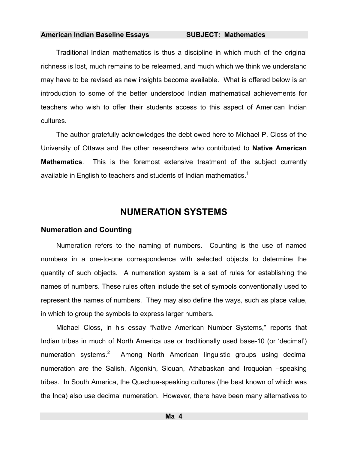<span id="page-5-0"></span> Traditional Indian mathematics is thus a discipline in which much of the original richness is lost, much remains to be relearned, and much which we think we understand may have to be revised as new insights become available. What is offered below is an introduction to some of the better understood Indian mathematical achievements for teachers who wish to offer their students access to this aspect of American Indian cultures.

The author gratefully acknowledges the debt owed here to Michael P. Closs of the University of Ottawa and the other researchers who contributed to **Native American Mathematics**. This is the foremost extensive treatment of the subject currently available in English to teachers and students of Indian mathematics.<sup>1</sup>

## **NUMERATION SYSTEMS**

### **Numeration and Counting**

Numeration refers to the naming of numbers. Counting is the use of named numbers in a one-to-one correspondence with selected objects to determine the quantity of such objects. A numeration system is a set of rules for establishing the names of numbers. These rules often include the set of symbols conventionally used to represent the names of numbers. They may also define the ways, such as place value, in which to group the symbols to express larger numbers.

Michael Closs, in his essay "Native American Number Systems," reports that Indian tribes in much of North America use or traditionally used base-10 (or 'decimal') numeration systems.<sup>2</sup> Among North American linguistic groups using decimal numeration are the Salish, Algonkin, Siouan, Athabaskan and Iroquoian –speaking tribes. In South America, the Quechua-speaking cultures (the best known of which was the Inca) also use decimal numeration. However, there have been many alternatives to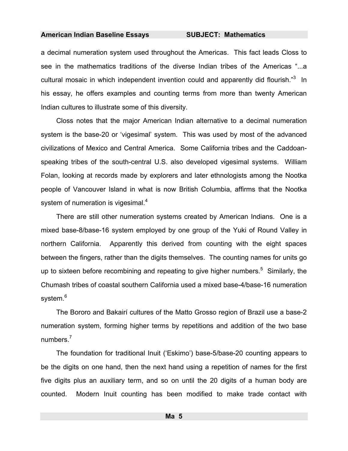a decimal numeration system used throughout the Americas. This fact leads Closs to see in the mathematics traditions of the diverse Indian tribes of the Americas "...a cultural mosaic in which independent invention could and apparently did flourish."<sup>3</sup> In his essay, he offers examples and counting terms from more than twenty American Indian cultures to illustrate some of this diversity.

Closs notes that the major American Indian alternative to a decimal numeration system is the base-20 or 'vigesimal' system. This was used by most of the advanced civilizations of Mexico and Central America. Some California tribes and the Caddoanspeaking tribes of the south-central U.S. also developed vigesimal systems. William Folan, looking at records made by explorers and later ethnologists among the Nootka people of Vancouver Island in what is now British Columbia, affirms that the Nootka system of numeration is vigesimal. $4$ 

There are still other numeration systems created by American Indians. One is a mixed base-8/base-16 system employed by one group of the Yuki of Round Valley in northern California. Apparently this derived from counting with the eight spaces between the fingers, rather than the digits themselves. The counting names for units go up to sixteen before recombining and repeating to give higher numbers.<sup>5</sup> Similarly, the Chumash tribes of coastal southern California used a mixed base-4/base-16 numeration system.<sup>6</sup>

The Bororo and Bakairí cultures of the Matto Grosso region of Brazil use a base-2 numeration system, forming higher terms by repetitions and addition of the two base numbers.<sup>7</sup>

The foundation for traditional Inuit ('Eskimo') base-5/base-20 counting appears to be the digits on one hand, then the next hand using a repetition of names for the first five digits plus an auxiliary term, and so on until the 20 digits of a human body are counted. Modern Inuit counting has been modified to make trade contact with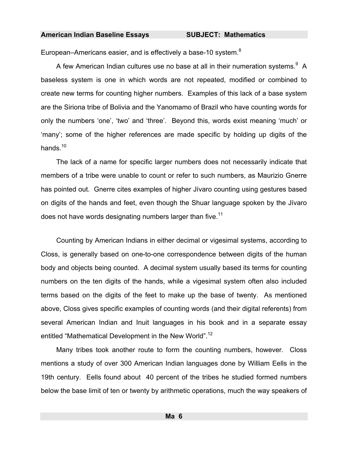European–Americans easier, and is effectively a base-10 system.<sup>8</sup>

A few American Indian cultures use no base at all in their numeration systems.<sup>9</sup> A baseless system is one in which words are not repeated, modified or combined to create new terms for counting higher numbers. Examples of this lack of a base system are the Siriona tribe of Bolivia and the Yanomamo of Brazil who have counting words for only the numbers 'one', 'two' and 'three'. Beyond this, words exist meaning 'much' or 'many'; some of the higher references are made specific by holding up digits of the hands.<sup>10</sup>

The lack of a name for specific larger numbers does not necessarily indicate that members of a tribe were unable to count or refer to such numbers, as Maurizio Gnerre has pointed out. Gnerre cites examples of higher Jívaro counting using gestures based on digits of the hands and feet, even though the Shuar language spoken by the Jívaro does not have words designating numbers larger than five.<sup>11</sup>

Counting by American Indians in either decimal or vigesimal systems, according to Closs, is generally based on one-to-one correspondence between digits of the human body and objects being counted. A decimal system usually based its terms for counting numbers on the ten [dig](#page-477-0)its of the hands, while a vigesimal system often also included terms based on the digits of the feet to make up the base of twenty. As mentione[d](#page-477-0)  above, Closs gives specific examples of counting words (and their digital referents) from several American Indian and Inuit languages in his book and in a separate essay entitled "Mathematical Development in the New World".<sup>12</sup>

Many tribes took another route to form the counting numbers, however. Closs mentions a study of over 300 American Indian languages done by William Eells in the 19th century. Eells found about 40 percent of the tribes he studied formed numbers below the base limit of ten or twenty by arithmetic operations, [m](#page-477-1)uch the way speakers of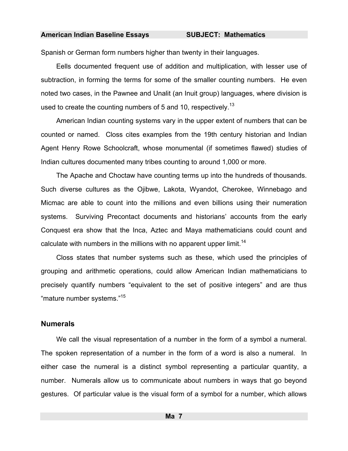Spanish or German form numbers higher than twenty in their languages.

Eells documented frequent use of addition and multiplication, with lesser use of subtraction, in forming the terms for some of the smaller counting numbers. He even noted two cases, in the Pawnee and Unalit (an Inuit group) languages, where division is used to create the counting numbers of 5 and 10, respectively.<sup>13</sup>

American Indian counting systems vary in the upper extent of numbers that can be counted or named. Closs cites examples from the 19th century historian and Indian Agent Henry Rowe Schoolcraft, whose monumental (if sometimes flawed) studies of Indian cultures documented many tribes counting to around 1,000 or more.

The Apache and Choctaw have counting terms up into the hundreds of thousands. Such diverse cultures as the Ojibwe, Lakota, Wyandot, Cherokee, Winnebago and Micmac are able to count into the millions and even billions using their numeration systems. Surviving Precontact documents and historians' accounts from the early Conquest era show that the Inca, Aztec and Maya mathematicians could count and calculate with numbers in the millions with no apparent upper limit.<sup>14</sup>

Closs states that number systems such as these, which used the principles of grouping and arithmetic operations, could allow American Indian mathematicians to precisely quantify numbers "equivalent to the set of positive integers" and are thus "mature number systems."15

### **Numerals**

We call the visual representation of a number in the form of a symbol a numeral. The spoken representation of a number in the form of a word is also a numeral. In either case the numeral is a distinct symbol representing a particular quantity, a number. Numerals allow us to communicate about numbers in ways that go beyond gestures. Of particular value is the visual form of a symbol for a number, which allows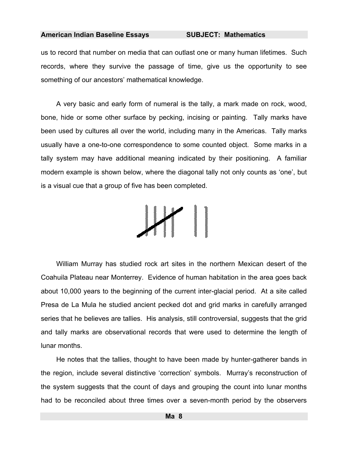<span id="page-9-0"></span>us to record that number on media that can outlast one or many human lifetimes. Such records, where they survive the passage of time, give us the opportunity to see something of our ancestors' mathematical knowledge.

A very basic and early form of numeral is the tally, a mark made on rock, wood, bone, hide or some other surface by pecking, incising or painting. Tally marks have been used by cultures all over the world, including many in the Americas. Tally marks usually have a one-to-one correspondence to some counted object. Some marks in a tally system may have additional meaning indicated by their positioning. A familiar modern example is shown below, where the diagonal tally not only counts as 'one', but is a visual cue that a group of five has been completed.



William Murray has studied rock art sites in the northern Mexican desert of the Coahuila Plateau near Monterrey. Evidence of human habitation in the area goes back about 10,000 years to the beginning of the current inter-glacial period. At a site called Presa de La Mula he studied ancient [pec](#page-477-2)ked dot and grid marks in carefully arranged series that he believes are tallies. His analysis, still controversial, suggests that the grid and tally marks are observational records that were used to determine the length of lunar months.

He notes that the tallies, thought to have been made by hunter-gatherer bands in the region, include several distinctive 'correction' symbols. Murray's reconstruction of the system suggests that the count of days and grouping the count into lunar months had to be reconciled about three times over a seven-month period by the observers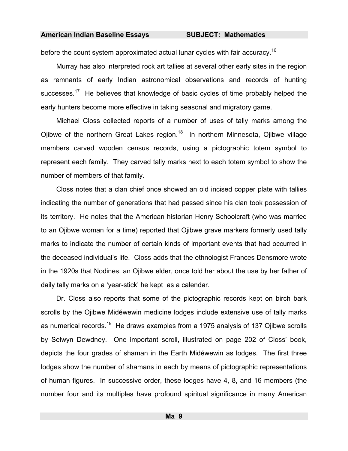before the count system approximated actual lunar cycles with fair accuracy.<sup>16</sup>

Murray has also interpreted rock art tallies at several other early sites in the region as remnants of early Indian astronomical observations and records of hunting successes.<sup>17</sup> He believes that knowledge of basic cycles of time probably helped the early hunters become more effective in taking seasonal and migratory game.

Michael Closs collected reports of a number of uses of tally marks among the Ojibwe of the northern Great Lakes region.<sup>18</sup> In northern Minnesota, Ojibwe village members carved wooden census records, using a pictographic totem symbol to represent each family. They carved tally marks next to each totem symbol to show the number of members of that family.

Closs notes that a clan chief once showed an old incised copper plate with tallies indicating the number of generations that had passed since his clan took possession of its territory. He notes that the American historian Henry Schoolcraft (who was married to an Ojibwe woman for a time) reported that Ojibwe grave markers formerly used tally marks to indicate the number of certain kinds of important events that had occurred in the deceased individual's life. Closs adds that the ethnologist Frances Densmore wrote in the 1920s that Nodines, an Ojibwe elder, once told her about the use by her father of daily tally marks on a 'year-stick' he kept as a calendar.

Dr. Closs also reports that some of the pictographic records kept on birch bark scrolls by the Ojibwe Midéwewin medicine lodges include extensive use of tally marks as numerical records.<sup>19</sup> He draws examples from a 1975 analysis of 137 Ojibwe scrolls by Selwyn Dewdney. One important scroll, illustrated on page 202 of Closs' book, depicts the four grades of shaman in the Earth Midéwewin as lodges. The first three lodges show the number of shamans in each by means of pictographic representations of human figures. In successive order, these lodges have 4, 8, and 16 members (the number four and its multiples have profound spiritual significance in many American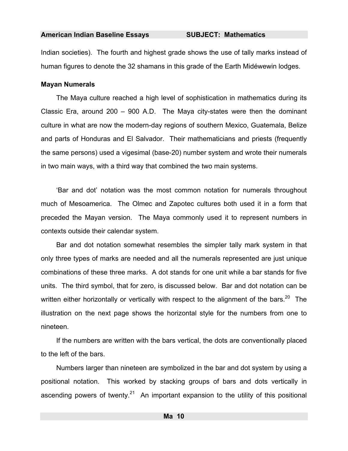Indian societies). The fourth and highest grade shows the use of tally marks instead of human figures to denote the 32 shamans in this grade of the Earth Midéwewin lodges.

### **Mayan Numerals**

The [M](#page-477-3)aya culture reached a high level of sophistication in mathematics during its Classic Era, around 200 – 900 A.D. The Maya city-states were then the dominant culture in what are now the modern-day regions of southern Mexico, Guatemala, Belize and parts of Honduras and El Salvad[or.](#page-477-4) Their mathematicians and priests (frequently the same persons) used a vigesimal (base-20) number system and wrote their numerals in two main ways, with a third way that combined the two main systems.

'Bar and dot' notation was the most common notation for numerals throughout much [of](#page-477-5) Mesoamerica. The Olmec and Zapotec cultures both used it in a form that preceded the Mayan version. The Maya commonly used it to represent numbers in contexts outside their calendar system.

Bar and dot notation somewhat resembles the simpler tally mark system in that only three types of marks are needed and all the numerals represented are just unique combinations of these three marks. A dot stands for one unit while a bar stands for five units. The third symbol, that for zero, is discussed below. Bar and dot notation can be written either horizontally or vertically with respect to the alignment of the bars.<sup>20</sup> The illustration on the next page shows the horizontal style for the numbers from one to nineteen.

If the numbers are written with the bars vertical, the dots are conventionally placed to the left of the bars.

Numbers larger than nineteen are symbolized in the bar and dot system by using a positional notation. This worked by stacking groups of bars and dots vertically in ascending powers of twenty.<sup>21</sup> An important expansion to the utility of this positional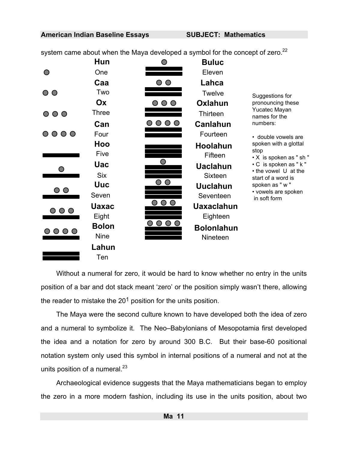|                                             | Hun          |                                            | <b>Buluc</b>      |                                                          |
|---------------------------------------------|--------------|--------------------------------------------|-------------------|----------------------------------------------------------|
|                                             | One          |                                            | Eleven            |                                                          |
|                                             | Caa          | $\circ$ $\circ$                            | Lahca             |                                                          |
| $\bigcirc$<br>$\bigcirc$                    | Two          |                                            | Twelve            | Suggestions for                                          |
|                                             | Ox           | $\circ$<br>$\bigcirc$                      | <b>Oxlahun</b>    | pronouncing these                                        |
| $\bigcirc$<br>$\bigcirc$<br>$\bigcirc$      | <b>Three</b> |                                            | Thirteen          | Yucatec Mayan<br>names for the                           |
|                                             | Can          | $\circ \circ \circ$                        | <b>Canlahun</b>   | numbers:                                                 |
| $\overline{O}$ $\overline{O}$<br>$\bigcirc$ | Four         |                                            | Fourteen          | • double vowels are                                      |
|                                             | Hoo          |                                            | <b>Hoolahun</b>   | spoken with a glottal<br>stop<br>• X is spoken as " sh " |
|                                             | Five         |                                            | Fifteen           |                                                          |
|                                             | <b>Uac</b>   |                                            | <b>Uaclahun</b>   | • C is spoken as "k"                                     |
|                                             | <b>Six</b>   |                                            | <b>Sixteen</b>    | • the vowel U at the<br>start of a word is               |
| O O                                         | <b>Uuc</b>   | O O                                        | <b>Uuclahun</b>   | spoken as "w"                                            |
|                                             | Seven        |                                            | Seventeen         | • vowels are spoken<br>in soft form                      |
| $\circ \circ \circ$                         | <b>Uaxac</b> | $\circ\circ\circ$                          | <b>Uaxaclahun</b> |                                                          |
|                                             | Eight        |                                            | Eighteen          |                                                          |
| 000                                         | <b>Bolon</b> | ${\circ} \, {\circ} \, {\circ} \, {\circ}$ | <b>Bolonlahun</b> |                                                          |
|                                             | <b>Nine</b>  |                                            | Nineteen          |                                                          |
|                                             | Lahun        |                                            |                   |                                                          |
|                                             | Ten          |                                            |                   |                                                          |

<span id="page-12-0"></span>system came about when the Maya developed a symbol for the concept of zero.<sup>22</sup>

Without a numeral for zero, it would be hard to know whether no entry in the units position of a bar and dot stack meant 'zero' or the position simply wasn't there, allowing the reader to mistake the  $20<sup>1</sup>$  position for the units position.

The Maya were the second culture known to have developed both the idea of zero and a numeral to symbolize it. The Neo–Babylonians of Mesopotamia first developed the idea and a notation for zero by around 300 B.C. But their base-60 positional notation system only used this symbol in internal positions of a numeral and not at the units position of a numeral.<sup>23</sup>

Archaeological evidence suggests that the Maya mathematicians began to employ the zero in a more modern fashion, including its use in the units position, about two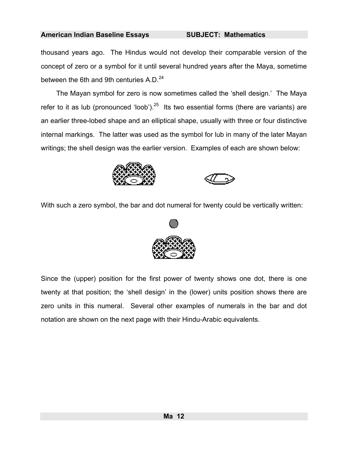thousand years ago. The Hindus would not develop their comparable version of the concept of zero or a symbol for it until several hundred years after the Maya, sometime between the 6th and 9th centuries A.D.<sup>24</sup>

The Mayan symbol for zero is now sometimes called the 'shell design.' The Maya refer to it as lub (pronounced 'loob').<sup>25</sup> Its two essential forms (there are variants) are an earlier three-lobed shape and an elliptical shape, usually with three or four distinctive internal markings. The latter was used as the symbol for lub in many of the later Mayan writings; the shell design was the earlier version. Examples of each are shown below:





With such a zero symbol, the bar and dot numeral for twenty could be vertically written:



Since the (upper) position for the first power of twenty shows one dot, there is one twenty at that position; the 'shell design' in the (lower) units position shows there are zero units in this numeral. Several other examples of numerals in the bar and dot notation are shown on the next page with their Hindu-Arabic equivalents.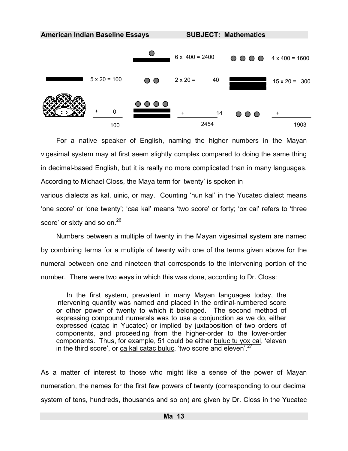

For a native speaker of English, naming the higher numbers in the Mayan vigesimal system may at first seem slightly complex compared to doing the same thing in decimal-based English, but it is really no more complicated than in many languages. According to Michael Closs, the Maya term for 'twenty' is spoken in

various dialects as kal, uinic, or may. Counting 'hun kal' in the Yucatec dialect means 'one score' or 'one twenty'; 'caa kal' means 'two score' or forty; 'ox cal' refers to 'three score' or sixty and so on.<sup>26</sup>

Numbers between a multiple of twenty in the Mayan vigesimal system are named by combining terms for a multiple of twenty with one of the terms given above for the numeral between one and nineteen that corresponds to the intervening portion of the number. There were two ways in which this was done, according to Dr. Closs:

In the first system, prevalent in many Mayan languages today, the intervening quantity was named and placed in the ordinal-numbered score or other power of twenty to which it belonged. The second method of expressing compound numerals was to use a conjunction as we do, either expressed (catac in Yucatec) or implied by juxtaposition of two orders of components, and proceeding from the higher-order to the lower-order components. Thus, for example, 51 could be either buluc tu yox cal, 'eleven in the third score', or ca kal catac buluc, 'two score and eleven'. $27$ 

As a m[atte](#page-477-6)r of interest to those who might like a sense of the power of Mayan numeration, the names for the first few powers of twenty (corresponding to our decimal system of tens, hundreds, thousands and so on) are given by Dr. Closs in the Yucatec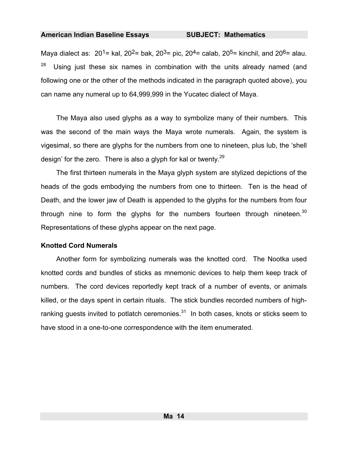Maya dialect as:  $20^{1}$  = kal,  $20^{2}$  = bak,  $20^{3}$  = pic,  $20^{4}$  = calab,  $20^{5}$  = kinchil, and  $20^{6}$  = alau.  $28$  Using just these six names in combination with the units already nam[ed](#page-477-7) (and following one or the other of the methods indicated in the paragraph quoted above), you can name any numeral up to 64,999,999 in the Yucatec dialect of Maya.

The Maya also used glyphs as a way to symbolize many of their numbers. This was the second of the main ways the Maya wrote numerals. Again, the system is vigesimal, so there are glyphs for the numbers from one to nineteen, plus lub, the 'shell design' for the zero. There is also a glyph for kal or twenty.<sup>29</sup>

The first thirteen numerals in the Maya glyph system are stylized depictions of the heads of the gods embodying the numbers from one to thirteen. Ten is the head of Death, and the lower jaw of Death is appended to the glyphs for the numbers from four through nine to form the glyphs for the numbers fourteen through nineteen.<sup>30</sup> Representations of these glyphs appear on the next page.

### **Knotted Cord Numerals**

Another form for symbolizing numerals was the knotted cord. The Nootka used knotted cords and bundles of sticks as mnemonic devices to help them keep track of numbers. The cord devices reportedly kept track of a number of events, or animals killed, or the days spent in certain rituals. The stick bundles recorded numbers of highranking quests invited to potlatch ceremonies. $31$  In both cases, knots or sticks seem to have stood in a one-to-one correspondence with the item enumerated.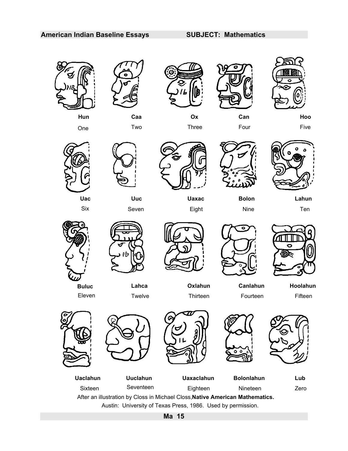









 **Hun Caa Ox Can Hoo** One Two Two Three Four Four Five







 $\overline{\bullet}$ 



Six Seven Eight Nine Ten





Eleven Twelve Thirteen Fourteen Fifteen







**Buluc Lahca Oxlahun Canlahun Hoolahun**











**Uaclahun Uuclahun Uaxaclahun Bolonlahun Lub** Sixteen Seventeen Eighteen Nineteen Zero After an illustration by Closs in Michael Closs, **Native American Mathematics.** Austin: University of Texas Press, 1986. Used by permission.

**Ma 15**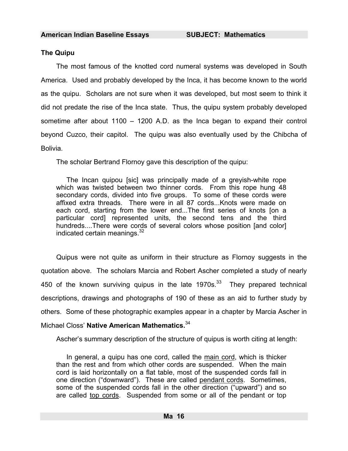### <span id="page-17-0"></span>**The Quipu**

The most famous of the knotted cord numeral systems was developed in South America. Used and probably developed by the Inca, it has become known to the world as the quipu. Scholars are not sure when it was developed, but most seem to think it did not predate the rise of the Inca state. Thus, the quipu system probably developed sometime after about 1100 – 1200 A.D. as the Inca began to expand their control beyond Cuzco, their capitol. The quipu was also eventually used by the Chibcha of Bolivia.

The scholar Bertrand Flornoy gave this description of the quipu:

The Incan quipou [sic] was principally made of a greyish-white rope which was twisted between two thinner cords. From this rope hung 48 secondary cords, divided into five groups. To some of these cords were affixed extra threads. There were in all 87 cords...K[not](#page-477-8)s were made on each cord, starting from the lower end...The first series of knots Ion a particular cord] represented units, the second tens and the third hundreds....There were cords of several colors whose position [and color] indicated certain meanings. $32$ 

Quipus were not quite as uniform in their structure as Flornoy suggests in the quotation [ab](#page-477-9)ove. The scholars Marcia and Robert Ascher completed a study of nearly 450 of the known surviving quipus in the late  $1970s^{33}$  They prepared technical descriptions, drawings and photographs of 190 of these as an aid to further study by others. Some of these photographic examples appear in a chapter by Marcia Ascher in Michael Closs' **Native American Mathematics.**34

Ascher's summary description of the structure of quipus is worth citing at length:

In general, a quipu has one cord, called the main cor[d, w](#page-477-10)hich is thicker than the rest and from which other cords are suspended. When the main cord is laid horizontally on a flat table, most of the suspended cords fall in one direction ("downward"). These are called pendant cords. Sometimes, some of the suspended cords fall in the other direction ("upward") and so are called top cords. Suspended from some or all of the pendant or top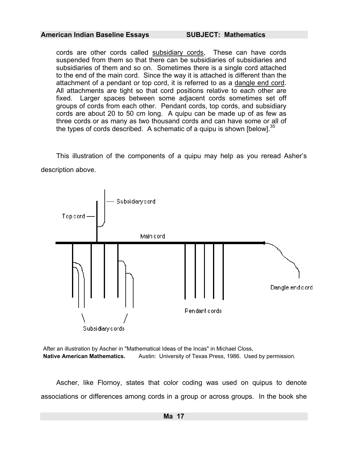cords are other cords called subsidiary cords, These can have cords suspended from them so that there can be subsidiaries of subsidiaries and subsidiaries of them and so on. Sometimes there is a single cord attached to the end of the main cord. Since the way it is attached is different than the attachment of a pendant or top cord, it is referred to as a dangle end cord. All attachments are tight so that cord positions relative to each other are fixed. Larger spaces between some adjacent cords sometimes set off groups of cords from each other. Pendant cords, top cords, and subsidiary cords are about 20 to 50 cm long. A quipu can be made up of as few as three cords or as many as two thousand cords and can have some or all of the types of cords described. A schematic of a quipu is shown [below].  $35$ 

This illustration of the components of a quipu may help as you reread Asher's description above.



After an illustration by Ascher in "Mathematical Ideas of the Incas" in Michael Closs, **Native American Mathematics.** Austin: University of Texas Press, 1986. Used by permission.

Ascher, like Flornoy, states that color coding was used on quipus to denote associations or differences among cords in a group or across groups. In the book she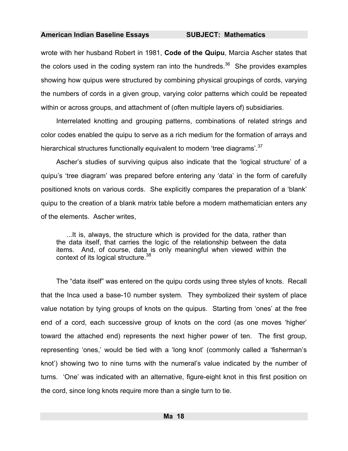<span id="page-19-0"></span>wrote with her husband Robert in 1981, **Code of the Quipu**, Marcia Ascher states that the colors used in the coding system ran into the hundreds.<sup>36</sup> She provides examples showing how quipus were structured by combining physical groupings of cords, varying the numbers of cords in a given group, varying color patterns which could be repeated within or across groups, and attachment of (often multiple layers of) subsidiaries.

Interrelated knotting and grouping patterns, combinations of related strings and color codes enabled the quipu to serve as a rich medium for the formation of arrays and hierarchical structures functionally equivalent to modern 'tree diagrams'.<sup>37</sup>

Ascher's studies of surviving quipus also indicate that the 'logical structure' of a quipu's 'tree diagram' was prepared before entering any 'data' in the form of carefully positioned knots on various cords. She explicitly compares the preparation of a 'blank' quipu to the creation of a blank matrix table before a modern mathematician enters any of the elements. Ascher writes,

...It is, always, the structure which is provided for the data, rather than the data itself, that carries the logic of the relationship between the data items. And, of course, data is only meaningful when [vi](#page-477-11)ewed within the context of its logical structure.<sup>38</sup>

The "data itself" was entered on the quipu cords using three styles of knots. Recall that the Inca used a base-10 number system. They symbolized th[eir](#page-477-12) system of place value notation by tying groups of knots on the quipus. Starting from 'ones' at the free end of a cord, each successive group of knots on the cord (as one moves 'higher' toward the attached end) represents the next higher p[ow](#page-477-13)er of ten. The first group, representing 'ones,' would be tied with a 'long knot' (commonly called a 'fisherman's knot') showing two to nine turns with the numeral's value indicated by the number of turns. 'One' was indicated with an alternative, figure-eight knot in this first position on the cord, since long knots require more than a single turn to tie.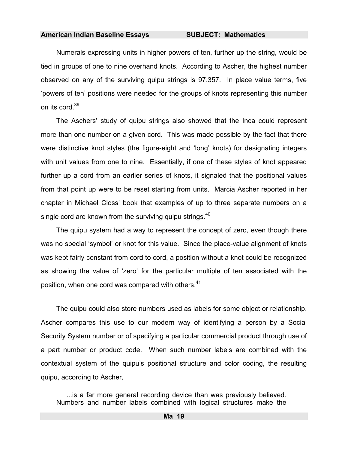Numerals expressing units in higher powers of ten, further up the string, would be tied in groups of one to nine overhand knots. According to Ascher, the highest number observed on any of the surviving quipu strings is 97,357. In place value terms, five 'powers of ten' positions were needed for the groups of knots representing this number on its cord.<sup>39</sup>

The Aschers' study of quipu strings also showed that the Inca could represent more than one number on a given cord. This was made possible by the fact that there were distinctive knot styles (the figure-eight and 'long' knots) for designa[ting](#page-477-14) integers with unit values from one to nine. Essentially, if one of these styles of knot appeared further up a cord from an earlier series of knots, it signaled that the positional values from that point up were to be reset starting from units. Marcia Ascher reported in her chapter in Michael Closs' book that examples of up to three separate numbers on a single cord are known from the surviving quipu strings.<sup>40</sup>

The quipu system had a way to represent the concept of zero, even though there was no special 'symbol' or knot for this value. Since the place-value alignment of knots was kept fairly constant from cord to cord, a position without a knot could be recognized as showing the value of 'zero' for the particular multiple of ten associated with the position, when one cord was compared with others.<sup>41</sup>

The quipu could also store numbers used as labels for some object or relationship. Ascher compares this use to our modern way of identifying a person by a Social Security System number or of specifying a particular commercial product through use of a part number or product code. When such number labels are combined with the contextual system of the quipu's positional structure and color coding, the resulting quipu, according to Ascher,

...is a far more general recording device than was previously believed. Numbers and number labels combined with logical structures make the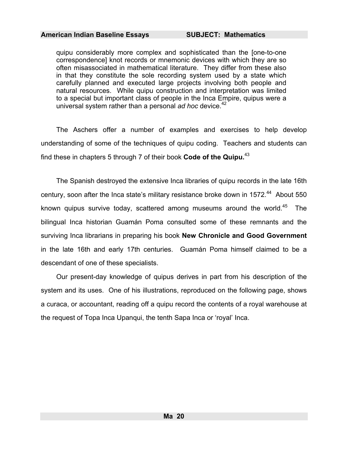quipu considerably more complex and sophisticated than the [one-to-one correspondence] knot records or mnemonic devices with which they are so often misassociated in mathematical literature. They differ from these also in that they constitute the sole recording system used by a state which carefully planned and executed large projects involving both p[eop](#page-477-7)le and natural resources. While quipu construction and interpretation was limited to a special but important class of people in the Inca Empire, quipus were a universal system rather than a personal *ad hoc* device.<sup>42</sup>

The Aschers offer a number of examples and exercises to help develop understanding of some of the techniques of quipu coding. Teachers and students can find these in chapters 5 through 7 of their book **Code of the Quipu.**<sup>43</sup>

The Spanish destroyed the extensive Inca libraries of quipu records in the late 16th century, soon after th[e In](#page-477-15)ca state's military resistance broke down in 1572.<sup>44</sup> About 550 known quipus survive today, scattered among museums around the world.<sup>45</sup> The bilingual Inca historian Guamán Poma consulted some of these remnants and the surviving Inca librarians in preparing his book **New Chronicle and Good Government** in the late 16th and early 17th centuries. Guamán Poma himself claimed to be a descendant of one of these specialists.

Our present-day knowledge of quipus derives in part from his description of the system and its uses. One of his illustrations, reproduced on the following page, shows a curaca, or accountant, reading off a quipu record the contents of a royal warehouse at the request of Topa Inca Upanqui, the tenth Sapa Inca or 'royal' Inca.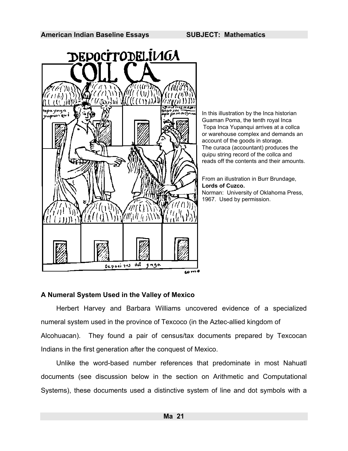

### **A Numeral System Used in the Valley of Mexico**

Herbert Harvey and [B](#page-477-2)arbara Williams uncovered evidence of a specialized numeral system used in the province of Texcoco (in the Aztec-allied kingdom of Alcohuacan). They found a pair of census/tax documents prepared by Texcocan Indians in the first generation after the conquest of Mexico.

Unlike the word-based number references that predominate in most Nahuatl documents (see discussion below in the section on Arithmetic and Computational Systems), these documen[ts](#page-477-1) used a distinctive system of line and dot symbols with a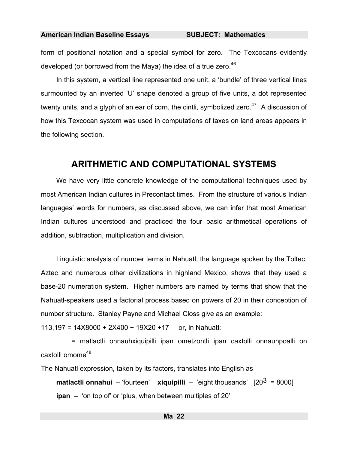form of positional notation and a special symbol for zero. The Texcocans evidently developed (or borrowed from the Maya) the idea of a true zero.<sup>46</sup>

In this system, a vertical line represented one unit, a 'bundle' of three vertical lines surmounted by an inverted 'U' shape denoted a group of five units, a dot represented twenty units, and a glyph of an ear of corn, the cintli, symbolized zero. $47$  A discussion of how this Texcocan system was used in computations of taxes on land areas appears in the following section.

## **ARITHMETIC AND COMPUTATIONAL SYSTEMS**

We have very little concrete knowledge of the computational techniques used by most American Indian cultures in Precontact times. From the structure of various Indian languages' words for numbers, as discussed above, we can infer that most American Indian cultures understood and practiced the four basic arithmetical [op](#page-477-16)erations of addition, subtraction, multiplication and division.

Linguistic analysis of number terms in Nahuatl, the language spoken by the [To](#page-477-17)ltec, Aztec and numerous other civilizations in highland Mexico, shows that they used a base-20 numeration system. Higher numbers are named by terms that show that the Nahuatl-speakers used a factorial process based on powers of 20 in their conception of number structure. Sta[nle](#page-477-18)y Payne and Michael Closs give as an example:

113,197 =  $14X8000 + 2X400 + 19X20 + 17$  $14X8000 + 2X400 + 19X20 + 17$  $14X8000 + 2X400 + 19X20 + 17$  or, in Nahuatl:

 = matlactli onnauhxiquipilli ipan ometzontli ipan caxtolli onnauhpoalli on caxtolli omome<sup>48</sup>

The Nahuatl expression, taken by its factors, translates into English as

**matlactli onnahui** – 'fourteen' **xiquipilli** – 'eight thousands'  $[20^3 = 8000]$ **ipan** – 'on top of' or 'plus, when between multiples of 20'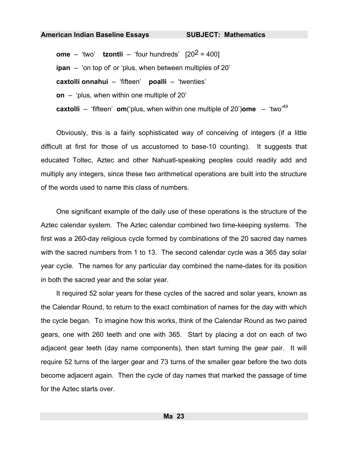<span id="page-24-0"></span>**ome** – 'two' **tzontli** – 'four hundreds'  $[20^2 = 400]$ **ipan** – 'on top of' or 'plus, when between multiples of 20' **caxtolli onnahui** – 'fifteen' **poalli** – 'twenties' **on** – 'plus, when within one multiple of 20' **caxtolli** – 'fifteen' **om**('plus, when within one multiple of 20')**ome** – 'two'49

Obviously, this is a fairly sophisticated way of conceiving of integers (if a little difficult at first for those of us accustomed to base-10 counting). It suggests that educated Toltec, Aztec and other Nahuatl-speaking peoples could readily add and multiply any integers, since these two arithmetical operations are built into the structure of the words used to name this class of numbers.

One significant example of the daily use of these operations is the structure of the Aztec calendar system. The Aztec calendar combined two time-keeping systems. The first was a 260-day religious cycle formed by combinations of the 20 sacred day names with the sacred numbers from 1 to 13. The second calendar cycle was a 365 day solar year cycle. The names for any particular day combined the name-dates for its position in both the sacred year and the solar year.

It required 52 solar years for these cycles of the sacred and solar years, known as the Calendar Round, to return to the exact combination of names for the day with which the cycle began. To imagine how this works, think of the Calendar Round as two paired gears, one with 260 teeth and one with 365. Start by placing a dot on each of two adjacent gear teeth (day name components), then start turning the gear pair. It will require 52 turns of the larger gear and 73 turns of the smaller gear before the two dots become adjacent again. Then the cycle of day names that marked the passage of time for the Aztec starts over.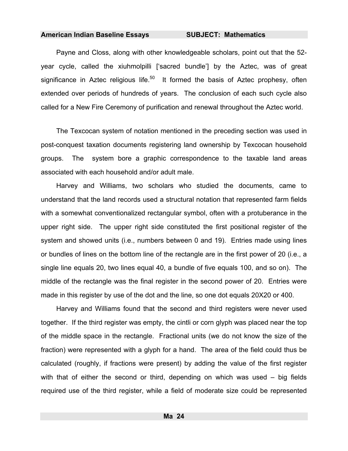<span id="page-25-0"></span>Payne and Closs, along with other knowledgeable scholars, point out that the 52 year cycle, called the xiuhmolpilli ['sacred bundle'] by the Aztec, was of great significance in Aztec religious life. $50$  It formed the basis of Aztec prophesy, often extended over periods of hundreds of years. The conclusion of each such cycle also called for a New Fire Ceremony of purification and renewal throughout the Aztec world.

The Texcocan system of notation mentioned in the preceding section was used in post-conquest taxation documents registering land ownership by Texcocan household groups. The system bore a graphic correspondence to the taxable land areas associated with each household and/or adult male.

Harvey and Williams, two scholars who studied the documents, came to understand that the land records used a structural notation that represented farm fields with a somewhat conventionalized rectangular symbol, often with a protuberance in t[he](#page-477-5)  upper right side. The upper right side constituted the first positional register of the system and showed units (i.e., numbers between 0 and 19). Entries made using lines or bundles of lines on the bottom line of the rectangle are in the first power of 20 (i.e., a single line equals 20, two lines equal 40, a bundle of five equals 100, and so on). The middle of the rectangle was the final register in the second power of 20. Entries were made in this register by use of the dot and the line, so one dot equals 20X20 or 400.

Harvey and Williams found that the second and third registers were never used together. If the third register was empty, the cintli or corn glyph was placed near the top of the middle space in the rectangle. Fractional units (we do not know the size of the fraction) were represented with a glyph for a hand. The area of the field could thus be calculated (roughly, if fractions were present) by adding the value of the first register with that of either the second or third, depending on which was used – big fields required use of the third register, while a field of moderate size could be represented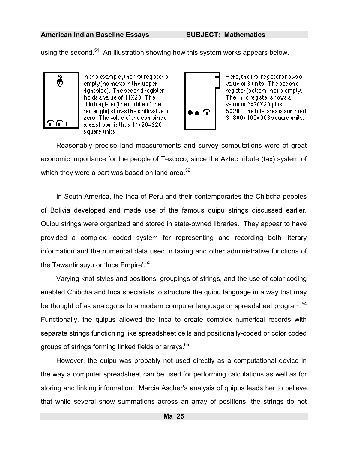using the second.<sup>51</sup> An illustration showing how this system works appears below.



In this example, the first register is : empty (no marks in the upperright side). The second register holds a value of 11X20. The third register (the middle of the rectangle) shows the cintli value of zero. The value of the combined area shown is thus 11x20=220 square units.



Here, the first register shows a value of 3 units. The second register (bottom line) is empty. The third register shows a value of 2x20X20 plus 5X20. The total area is summed 3+800+100=903 square units.

Reasona[bly](#page-477-20) precise land measurements and survey computations were of great economic importance for the people of Texcoco, since the Aztec tribute (tax) system of which they were a part was based on land area. $52$ 

In South America, the Inca of Peru and their contemporaries the Chibcha peoples of Bolivia developed and made use of the famous quipu strings discussed earlier. Quipu strings were organized and stored in state-owned libraries. They appear to have provided a complex, coded system for representing and recording both literary information and the numerical data used in taxing and other administrative fun[ctio](#page-477-21)ns of the Tawantinsuyu or 'Inca Empire'.<sup>53</sup>

Varying knot styles and positions, groupings of strings, and the use of color coding enabled Chibcha and Inca specialists to structure the quipu language in a way that may be thought of as analogous to a modern computer language or spreadsheet program.<sup>54</sup> Functionally, the quipus allowed the Inca to create complex numerical records with separate strings functioning like spreadsheet cells and positionally-coded or color coded groups of strings forming linked fields or arrays.<sup>55</sup>

However, the quipu was probably not used directly as a computational device in the way a computer spreadsheet can be used for performing calculations as well as for storing and linking information. Marcia Ascher's analysis of quipus leads her to believe that while several show summations across an array of positions, the strings do not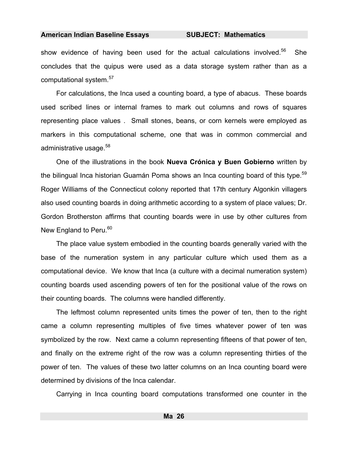show evidence of having been used for the actual calculations involved.<sup>56</sup> She concludes that the quipus were used as a data storage system rather than as a computational system.57

For calculations, the Inca used a counting board, a type of abacus. These boards used scribed lines or internal frames to mark out columns and rows of squares representing place values . Small stones, beans, or corn kernels were employed as markers in this computational scheme, one that was in common commercial and administrative usage.<sup>58</sup>

One of the illustrations in the book **Nueva Crónica y Buen Gobierno** written by the bilingual Inca historian Guamán Poma shows an Inca counting board of this type.<sup>59</sup> Roger Williams of the Connecticut colony reported that 17th century Algonkin villagers also used counting boards in doing arithmetic according to a system of place values; Dr. Gordon Brotherston affirms that counting boards were in use by other cultures from New England to Peru.<sup>60</sup>

The place value system embodied in the counting boards generally varied with the base of the numeration system in any particular culture which used them as a computational device. We know that Inca (a culture with a decimal numeration system) counting boards used ascending powers of ten for the positional value of the rows on their counting boards. The columns were handled differently.

The leftmost column represented units times the power of ten, then to the right came a column representing multiples of five times whatever power of ten was symbolized by the row. Next came a column representing fifteens of that power of ten, and finally on the extreme right of the row was a column representing thirties of the power of ten. The values of these two latter columns on an Inca counting board were determined by divisions of the Inca calendar.

Carrying in Inca counting board computations transformed one counter in the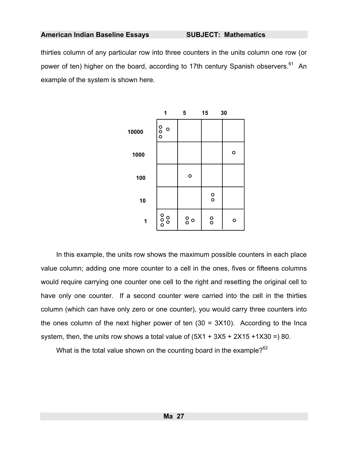thirties column of any particular row into three counters in the units column one row (or power of ten) higher on the board, according to 17th century Spanish observers.<sup>61</sup> An example of the system is shown here.



In this example, the units row shows the maximum possible counters in eac[h p](#page-477-22)lace value column; adding one more counter to a cell in the ones, fives or fifteens columns would require carrying one counter one cell to the right and resetting the original cell to have only one counter. If a second counter were carried into the cell in the thirties column (which can have only zero or one counter), you would carry three counters into the ones column of the next higher power of ten  $(30 = 3X10)$ . According to the Inca system, then, the units row shows a total value of  $(5X1 + 3X5 + 2X15 + 1X30 = 80$ .

What is the total value shown on the counting board in the example? $62$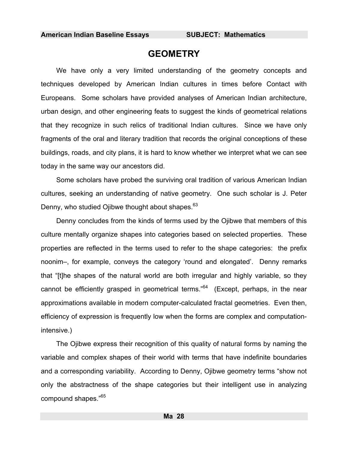## **GEOMETRY**

We have only a very limited understanding of the geometry concepts and techniques developed by American Indian cultures in times before Contact with Europeans. Some scholars have provided analyses of American Indian architecture, urban design, and other engineering feats to suggest the kinds of geometrical relations that they recognize in such relics of traditional Indian cultures. Since we have [on](#page-477-23)ly fragments of the oral and literary tradition that records the original conceptions of these buildings, roads, and city plans, it is hard to know whether we interpret what we can see today in the same way our ancestors did.

Some scholars have probed the survivin[g o](#page-477-24)ral tradition of various American Indian cultures, seeking an understanding of native geometry. One such scholar is J. Peter Denny, who studied Ojibwe thought about shapes.<sup>63</sup>

Denny conclude[s fr](#page-477-25)om the kinds of terms used by the Ojibwe that members of this culture mentally organize shapes into categories based on selected properties. These properties are reflected in the terms used to refer to the shape categories: the prefix noonim–, for example, conveys the category 'round and elongated'. Denny remarks that "[t]he shapes of the natural world are both irregular and highly variable, so they cannot be efficiently grasped in geometrical terms."64 (Except, perhaps, in the near approximations available in mod[ern](#page-477-26) computer-calculated fractal geometries. Even then, efficiency of expression is frequently low when the forms are complex [an](#page-477-2)d computationintensive.)

The Ojibwe express their recognition of this quality of natural forms by naming the variable and complex shapes of their world with terms that have indefinite boundaries and a corresponding variability. According to Denny, Ojibwe geometry terms "show not only the abstractness of the shape categories but their intelligent use in analyzing compound shapes."<sup>65</sup>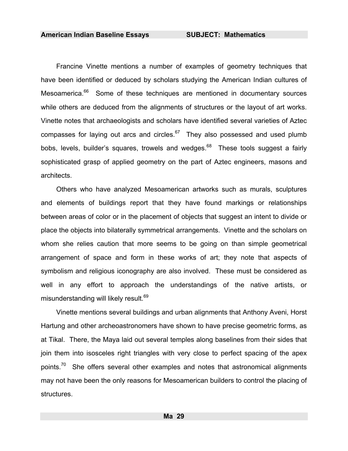Francine Vinette mentions a number of examples of geometry techniques that have been identified or deduced by scholars studying the American Indian cultures of Mesoamerica.<sup>66</sup> Some of these techniques are mentioned in documentary sources while others are deduced from the alignments of structures or the layout of art works. Vinette notes that archaeologists and scholars have identified several varieties of Aztec compasses for laying out arcs and circles. $67$  They also possessed and used plumb bobs, levels, builder's squares, trowels and wedges.<sup>68</sup> These tools suggest a fairly sophisticated grasp of applied geometry on the part of Aztec engineers, masons and architects.

Others who have analyzed Mesoamerican artworks such as murals, sculptures and elements of buildings report that they have found markings or relationships between areas of color or in the placement of objects that suggest an intent to divide or place the objects into bilaterally symmetrical arrangements. Vinette and the scholars on whom she relies caution that more seems to be going on than simple geometrical arrangement of space and form in these works of art; they note that aspects of symbolism and religious iconography are also involved. These must be considered as well in any effort to approach the understandings of the native artists, or misunderstanding will likely result.<sup>69</sup>

Vinette mentions several buildings and urban alignments that Anthony Aveni, Horst Hartung and other archeoastronomers have shown to have precise geometric forms, as at Tikal. There, the Maya laid out several temples along baselines from their sides that join them into isosceles right triangles with very close to perfect spacing of the apex points.<sup>70</sup> She offers several other examples and notes that astronomical alignments may not have been the only reasons for Mesoamerican builders to control the placing of structures.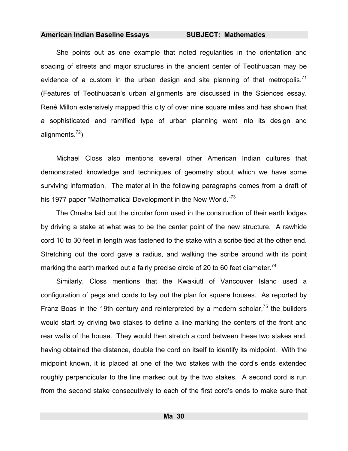<span id="page-31-0"></span>She points out as one example that noted regularities in the orientation and spacing of streets and major structures in the ancient center of Teotihuacan may be evidence of a custom in the urban design and site planning of that metropolis.<sup>71</sup> (Features of Teotihuacan's urban alignments are discussed in the Sciences essay. René Millon extensively mapped this city of over nine square miles and has shown that a sophisticated and ramified type of urban planning went into its design and alignments. $^{72}$ )

Michael Closs also mentions several other American Indian cultures that demonstrated knowledge and techniques of geometry about which we have some surviving information. The material in the following paragraphs comes from a draft of his 1977 paper "Mathematical Development in the New World."<sup>73</sup>

The Omaha laid out the circular form used in the construction of their earth lodges by driving a stake at what was to be the center point of the new structure. A rawhide cord 10 to 30 feet in length was fastened to the stake with a scribe tied at the other end. Stretching out the cord gave a radius, and walking the scribe around with its point marking the earth marked out a fairly precise circle of 20 to 60 feet diameter.<sup>74</sup>

Similarly, Closs mentions that the Kwakiutl of Vancouver Island used a configuration of pegs and cords to lay out the plan for square houses. [As](#page-477-27) reported by Franz Boas in the 19th century and reinterpreted by a modern scholar,  $75$  the builders would start by driving two stakes to define a line marking the centers of the front and rear walls of the house. They would then stretch a cord between these two stakes and, having obtained the distance, double the cord on itself to identify its midpoint. With the midpoint known, it is placed at one of the two stakes with the cord's ends extended roughly perpendicular to the line marked out by the two stakes. A second cord is run from the second stake consecutively to each of the first cord's ends to make sure that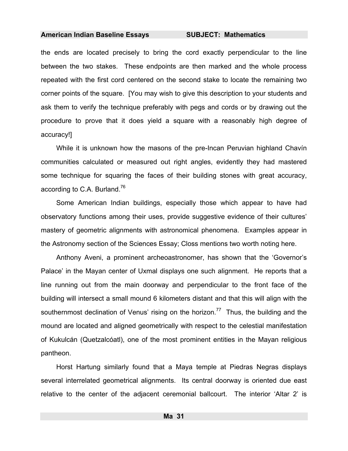the ends are located precisely to bring the cord exactly perpendicular to the line between the two stakes. These endpoints are then marked and the whole process repeated with the first cord centered on the second stake to locate the remaining two corner points of the square. [You may wish to give this description to your students and ask them to verify the technique preferably with pegs and cords or by drawing out the procedure to prove that it does yield a square with a reasonably high degree of accuracy!]

While it is unknown how the masons of the pre-Incan Peruvian highland Chavín communities calculated or measured out right angles, evidently they had mastered some technique for squaring the faces of their building stones with great accuracy, according to C.A. Burland.76

Some American Indian buildings, especially those which appear to have had observatory functions among their uses, provide suggestive evidence of their cultures' mastery of geometric alignments with astronomical phenomena. Examples appear in the Astronomy section of the Sciences Essay; Closs mentions two worth noting here.

Anthony Aveni, a prominent archeoastronomer, has shown that the 'Governor's Palace' in the Mayan center of Uxmal displays one such alignment. He reports that a line running out from the main doorway and perpendicular to the front face of the building will intersect a small mound 6 kilometers distant and that this will align with the southernmost declination of Venus' rising on the horizon.<sup>77</sup> Thus, the building and the mound are located and aligned geometrically with respect to the celestial manifestation of Kukulcán (Quetzalcóatl), one of the most prominent entities in the Mayan religious pantheon.

Horst Hartung similarly found that a Maya temple at Piedras Negras displays several interrelated geometrical alignments. Its central doorway is oriented due east relative to the center of the adjacent ceremonial ballcourt. The interior 'Altar 2' is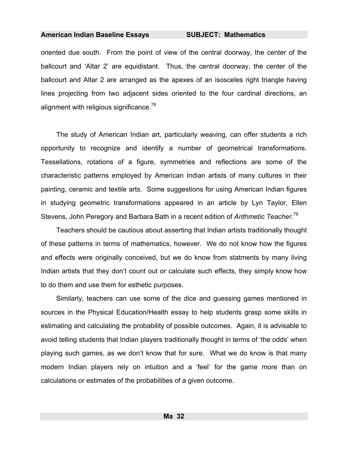oriented due south. From the point of view of the central doorway, the center of the ballcourt and 'Altar 2' are equidistant. Thus, the central doorway, the center of the ballcourt and Altar 2 are arranged as the apexes of an isosceles right triangle having lines projecting from two adjacent sides oriented to the four cardinal directions, an alignment with religious significance. $78$ 

The study of American Indian art, particularly weaving, can offer students a rich opportunity to recognize and identify a number of geometrical transformations. Tessellations, rotations of a figure, symmetries and reflections are some of the characteristic patterns employed by American Indian artists of many cultures in their painting, ceramic and textile arts. Some suggestions for using American Indian figures in studying geometric transformations appeared in an article by Lyn Taylor, Ellen Stevens, John Peregory and Barbara Bath in a recent edition of *Arithmetic Teacher*. 79

Teachers should be cautious about asserting that Indian artists traditionally thought of these patterns in terms of mathematics, however. We do not know how the figures and effects were originally conceived, but we do know from statments by many living Indian artists that they don't count out or calculate such effects, they simply know how to do them and use them for esthetic purposes.

Similarly, teachers can use some of the dice and guessing games mentioned in sources in the Physical Education/Health essay to help students grasp some skills in estimating and calculating the probability of possible outcomes. Again, it is advisable to avoid telling students that Indian players traditionally thought in terms of 'the odds' when playing such games, as we don't know that for sure. What we do know is that many modern Indian players rely on intuition and a 'feel' for the game more than on calculations or estimates of the probabilities of a given outcome.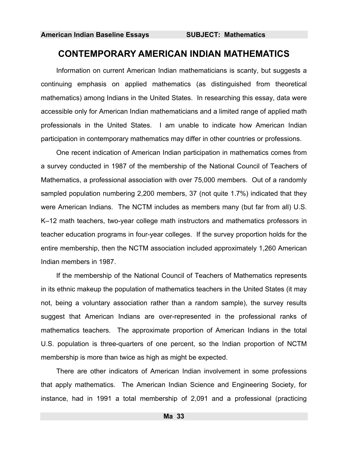## **CONTEMPORARY AMERICAN INDIAN MATHEMATICS**

Information on current American Indian mathematicians is scanty, but suggests a continuing em[pha](#page-477-7)sis on applied mathematics (as distinguished from theoretical mathematics) among Indians in the United States. In researching this essay, data were accessible only for American Indian mathematicians and a limited range of applied math professionals in the [Uni](#page-477-23)ted States. I am unable to indicate how American Indian participation in contemporary mathematics may differ in other countries or professions.

One recent indication of American Indian participation in mathematics comes from a survey conducted in 1987 of the membership of the National Council of Teachers of Mathematics, a professional association with over 75,000 members. Out of a randomly sampled population numbering 2,200 members, 37 (not quite 1.7%) indicate[d t](#page-477-8)hat they were American Indians. The NCTM includes as members many (but far from all) U.S. K–12 math teachers, two-year college math instructors and mathematics professors in teacher education programs in four-year colleges. If the survey proportion holds for the entire membership, then the NCTM association included approximately 1,260 American Indian members in 1987.

If the membership of the [Na](#page-477-29)tional Council of Teachers of Mathematics represents in its ethnic makeup the population of mathematics teachers in the United States (it may not, being a voluntary association rather than a random sample), the survey results suggest that American Indians are over-represented in the professional ranks of mathematics te[ach](#page-477-30)ers. The approximate proportion of American Indians in the total U.S. population is three-quarters of one percent, so the Indian proportion of NCTM membership is more than twice as high as might be expected.

 There are other indicators of American Indian involvement in some professions that apply mathematics. The American Indian Science and Engineering Society, for instance, had in 1991 a total membership of 2,091 and a professional (practicing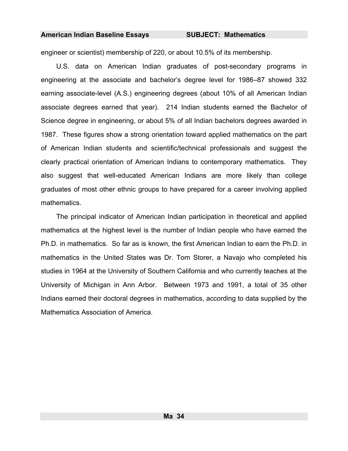engineer or scientist) membership of 220, or about 10.5% of its membership.

U.S. data on American Indian graduates of post-secondary programs in engineering at the associate and bachelor's degree level for 1986–87 showed 332 earning associate-level (A.S.) engineering degrees (about 10% of all American Indian associate degrees earned that year). 214 Indian students earned the Bachelor of Science degree in engineering, or about 5% of all Indian bachelors degrees awarded in 1987. These figures show a strong orientation toward applied mathematics on the part of American Indian students and scientific/technical professionals and suggest the clearly practical orientation of American Indians to contemporary mathematics. They also suggest that well-educated American Indians are more likely than college graduates of most other ethnic groups to have prepared for a career involving applied mathematics.

The principal indicator of American Indian participation in theoretical and applied mathematics at the highest level is the number of Indian people who have earned the Ph.D. in mathematics. So far as is known, the first American Indian to earn the Ph.D. in mathematics in the United States was Dr. Tom Storer, a Navajo who completed his studies in 1964 at the University of Southern California and who currently teaches at the University of Michigan in Ann Arbor. Between 1973 and 1991, a total of 35 other Indians earned their doctoral degrees in mathematics, according to data supplied by the Mathematics Association of America.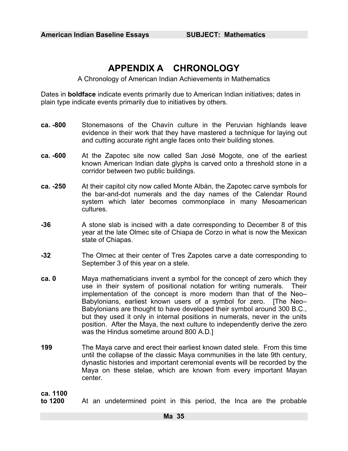## **APPENDIX A CHRONOLOGY**

A Chronology of American Indian Achievements in Mathematics

Dates in **boldface** indicate events primarily due to American Indian initiatives; dates in plain type indicate events primarily due to initiatives by others.

- **ca. -800** Stonemasons of the Chavín culture in the Peruvian highlands leave evidence in their work that they have mastered a technique for laying out and cutting accurate right angle faces onto their building stones.
- **ca. -600** At the [Zap](#page-477-31)otec site now called San José Mogote, one of the earliest known American Indian date glyphs is carved onto a threshold stone in a corridor between two public buildings.
- **ca. -250** At their capitol city now called Monte Albán, the Zapotec carve symbols for the bar-and-dot numerals and the day names of the Calendar Round system which later becomes commonplace in many Mesoamerican cultures.
- **-36** A stone slab is incised with a date corresponding to December 8 of this year at the late Olmec site of Chiapa de Corzo in what is now the Mexican state of Chiapas.
- **-32** The Olmec at their center of Tres Zapotes carve a date corresponding to September 3 of this year on a stele.
- **ca. 0** Maya mathematicians invent a symbol for the concept of zero which they use in their system of positional notation for writing numerals. Their imple[me](#page-477-26)ntation of the concept is more modern than that of the Neo– Babylonians, earliest known users of a symbol for zero. [The Neo– Babylonians are thought to have developed their symbol around 300 B.C., but they used it only in internal positions in numerals, never in the units position. After the Maya, the next culture to independently derive the zero was the Hindus sometime around 800 A.D.]
- **199** The Maya carve and erect their earliest known dated stele. From this time until the collapse of the classic Maya communities in the late 9th century, dynastic histories and important ceremonial events will be recorded by the Maya on these stelae, which are known from every important Mayan center.

### **ca. 1100**

**to 1200** At an undetermined point in this period, the Inca are the probable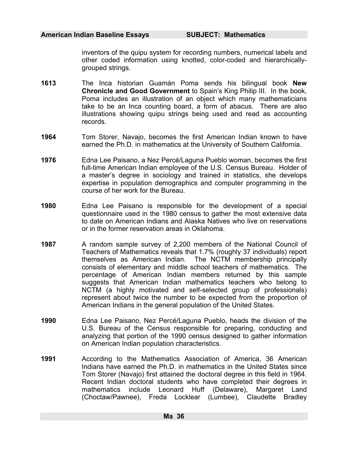inventors of the quipu system for recording numbers, numerical labels and other coded information using knotted, color-coded and hierarchicallygrouped strings.

- <span id="page-37-0"></span>**1613** The Inca historian Guamán Poma sends his bilingual book **New Chronicle and Good Government** to Spain's King Philip III. In the book, Poma includes an illustration of an object which many mathematicians take to be an Inca counting board, a form of abacus. There are also illustrations showing quipu strings being used and read as accounting records.
- **1964** Tom Storer, Navajo, becomes the first American Indian known to have earned the Ph.D. in mathematics at the University of Southern California.
- **1976** Edna Lee Paisano, a Nez Percé/Laguna Pueblo woman, becomes the first full-time American Indian employee of the U.S. Census Bureau. Holder of a master's degree in sociology and trained in statistics, she develops expertise in population demographics and computer programming in the course of her work for the Bureau.
- **1980** Edna Lee Paisano is responsible for the development of a special questionnaire used in the 1980 census to gather the most extensive data to date on American Indians and Alaska Natives who live on reservations or in the former reservation areas in Oklahoma.
- **1987** A random sample survey of 2,200 members of the National Council of Teachers of Mathematics reveals that 1.7% (roughly 37 individuals) report themselves as American Indian. The NCTM membership principally consists of elementary and middle school teachers of mathematics. The percentage of American Indian members returned by this sample suggests that American Indian mathematics teachers who belong to NCTM (a highly motivated and self-selected group of professionals) represent about twice the number to be expected from the proportion of American Indians in the general population of the United States.
- **1990** Edna Lee Paisano, Nez Percé/Laguna Pueblo, heads the division of the U.S. Bureau of the Census responsible for preparing, conducting and analyzing that portion of the 1990 census designed to gather information on American Indian population characteristics.
- **1991** According to the Mathematics Association of America, 36 American Indians have earned the Ph.D. in mathematics in the United States since Tom Storer (Navajo) first attained the doctoral degree in this field in 1964. Recent Indian doctoral students who have completed their degrees in mathematics include Leonard Huff (Delaware), Margaret Land (Choctaw/Pawnee), Freda Locklear (Lumbee), Claudette Bradley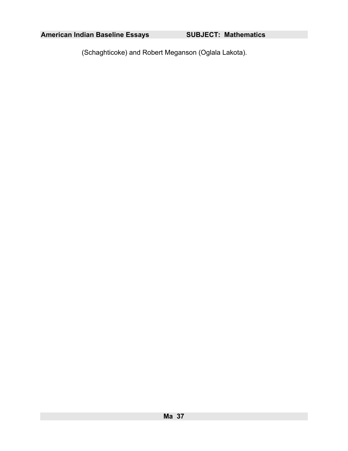(Schaghticoke) and Robert Meganson (Oglala Lakota).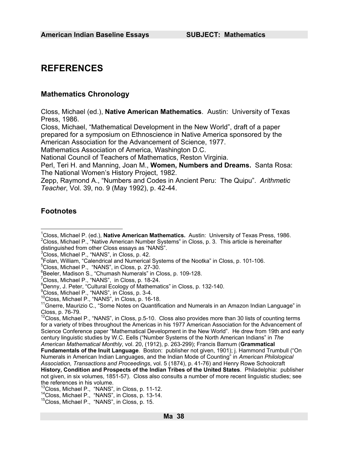## **REFERENCES**

### **Mathematics Chronology**

Closs, Michael (ed.), **Native American Mathematics**. Austin: University of Texas Press, 1986.

Closs, Michael, "Mathematical Development in the New World", draft of a paper prepared for a symposium on Ethnoscience in Native America sponsored by the American Association for the Advancement of Science, 1977.

Mathematics Association of America, Washington D.C.

National Council of Teachers of Mathematics, Reston Virginia.

Perl, Teri H. and Manning, Joan M., **Women, Numbers and Dreams.** Santa Rosa: The National Women's History Project, 1982.

Zepp, Raymond A., "Numbers and Codes in Ancient Peru: The Quipu". *Arithmetic Teacher*, Vol. 39, no. 9 (May 1992), p. 42-44.

## **Footnotes**

3 Closs, Michael P., "NANS", in Closs, p. 42.

- 
- <sup>s</sup>Closs, Michael P., "NANS", in Closs, p. 27-30.<br><sup>6</sup>Beeler, Madison S., "Chumash Numerals" in Closs, p. 109-128.
- 7 Closs, Michael P., "NANS", in Closs, p. 18-24.

 $\frac{1}{1}$ <sup>1</sup>Closs, Michael P. (ed.), **Native American Mathematics.** Austin: University of Texas Press, 1986.<br><sup>2</sup>Closs, Michael P. "Native American Number Systems" in Closs, n. 2. This article is bereinafter.  $2$ Closs, Michael P., "Native American Number Systems" in Closs, p. 3. This article is hereinafter distinguished from other Closs essays as "NANS".

<sup>&</sup>lt;sup>4</sup> Folan, William, "Calendrical and Numerical Systems of the Nootka" in Closs, p. 101-106.<br><sup>5</sup>Closs, Michael R. ("NANS", in Closs, p. 27, 29

<sup>&</sup>lt;sup>8</sup> Denny, J. Peter, "Cultural Ecology of Mathematics" in Closs, p. 132-140.<br><sup>9</sup> Closs, Michael D. "NANS", in Close, p. 3.4.

 ${}^{9}$ Closs, Michael P., "NANS", in Closs, p. 3-4.<br> ${}^{10}$ Closs, Michael P., "NANS", in Closs, p. 16-18.

<sup>&</sup>lt;sup>11</sup>Gnerre, Maurizio C., "Some Notes on Quantification and Numerals in an Amazon Indian Language" in Closs, p. 76-79.

 $12$ Closs, Michael P., "NANS", in Closs, p.5-10. Closs also provides more than 30 lists of counting terms for a variety of tribes throughout the Americas in his 1977 American Association for the Advancement of Science Conference paper "Mathematical Development in the New World". He drew from 19th and early century linguistic studies by W.C. Eells ("Number Systems of the North American Indians" in *The American Mathematical Monthly*, vol. 20, (1912), p. 263-299); Francis Barnum (**Grammatical** 

**Fundamentals of the Inuit Language**. Boston: publisher not given, 1901); j. Hammond Trumbull ("On Numerals in American Indian Languages, and the Indian Mode of Counting" in *American Philological Association, Transactions and Proceedings*, vol. 5 (1874), p. 41-76) and Henry Rowe Schoolcraft

**History, Condition and Prospects of the Indian Tribes of the United States**. Philadelphia: publisher not given, in six volumes, 1851-57). Closs also consults a number of more recent linguistic studies; see the references in his volume.<br><sup>13</sup>Closs, Michael P., "NANS", in Closs, p. 11-12.

 $14$ Closs, Michael P., "NANS", in Closs, p. 13-14.  $15$ Closs, Michael P., "NANS", in Closs, p. 15.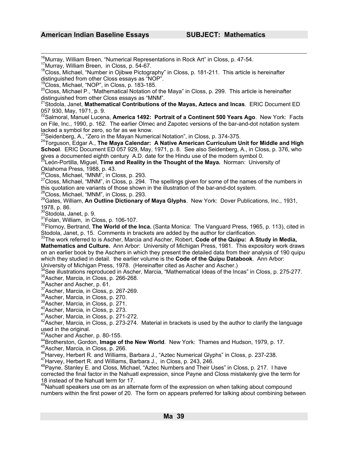<span id="page-40-0"></span><sup>16</sup>Murray, William Breen, "Numerical Representations in Rock Art" in Closs, p. 47-54.<br><sup>17</sup>Murray, William Breen, in Closs, p. 54-67.<br><sup>18</sup>Closs, Michael, "Number in Ojibwe Pictography" in Closs, p. 181-211. This article is distinguished from other Closs essays as "NOP".<br><sup>19</sup>Closs, Michael, "NOP", in Closs, p. 183-185. <sup>20</sup>Closs, Michael P., "Mathematical Notation of the Maya" in Closs, p. 299. This article is hereinafter distinguished from other Closs essays as "MNM". 21Stodola, Janet, **Mathematical Contributions of the Mayas, Aztecs and Incas**. ERIC Document ED 057 930, May, 1971, p. 9. 22Salmoral, Manuel Lucena, **America 1492: Portrait of a Continent 500 Years Ago**. New York: Facts on File, Inc., 1990, p. 162. The earlier Olmec and Zapotec versions of the bar-and-dot notation system lacked a symbol for zero, so far as we know.<br><sup>23</sup> Seidenberg, A., "Zero in the Mayan Numerical Notation", in Closs, p. 374-375. <sup>24</sup> Torquson, Edgar A., The Maya Calendar: A Native American Curriculum Unit for Middle and High **School**. ERIC Document ED 057 929, May, 1971, p. 8. See also Seidenberg, A., in Closs, p. 376, who gives a documented eighth century A.D. date for the Hindu use of the modern symbol 0.<br><sup>25</sup>León-Portilla, Miguel, **Time and Reality in the Thought of the Maya.** Norman: University of Oklahoma Press, 1988, p. 43.<br><sup>26</sup>Closs, Michael, "MNM", in Closs, p. 293. <sup>27</sup>Closs, Michael, "MNM", in Closs, p. 294. The spellings given for some of the names of the numbers in this quotation are variants of those shown in the illustration of the bar-and-dot system. 28<br>Closs, Michael, "MNM", in Closs, p. 293.<br><sup>29</sup>Gates, William, An Outline Dictionary of Maya Glyphs. New York: Dover Publications, Inc., 1931, 1978, p. 86.<br><sup>30</sup>Stodola, Janet, p. 9. 31 Folan, William, in Closs, p. 106-107.<br><sup>32</sup>Flornoy, Bertrand, **The World of the Inca.** (Santa Monica: The Vanguard Press, 1965, p. 113), cited in Stodola, Janet, p. 15. Comments in brackets are added by the author for clarification.<br><sup>33</sup>The work referred to is Ascher, Marcia and Ascher, Robert, **Code of the Quipu: A Study in Media, Mathematics and Culture.** Ann Arbor: University of Michigan Press, 1981. This expository work draws on an earlier book by the Aschers in which they present the detailed data from their analysis of 190 quipu which they studied in detail. the earlier volume is the **Code of the Quipu Databook**. Ann Arbor:<br>University of Michigan Press, 1978. (Hereinafter cited as Ascher and Ascher.) <sup>34</sup>See illustrations reproduced in Ascher, Marcia, "Mathematical Ideas of the Incas" in Closs, p. 275-277.<br>
<sup>35</sup>Ascher, Marcia, in Closs, p. 266-268.<br>
<sup>36</sup>Ascher and Ascher, p. 61.<br>
<sup>37</sup>Ascher, Marcia, in Closs, p. 267-26 used in the original.<br><sup>43</sup>Ascher and Ascher, p. 80-155. <sup>44</sup>Brotherston, Gordon, **Image of the New World**. New York: Thames and Hudson, 1979, p. 17.<br><sup>45</sup>Ascher, Marcia, in Closs, p. 266.<br><sup>46</sup>Harvey, Herbert R. and Williams, Barbara J., "Aztec Numerical Glyphs" in Closs, p. 237 corrected the final factor in the Nahuatl expression, since Payne and Closs mistakenly give the term for 18 instead of the Nahuatl term for 17. 49Nahuatl speakers use om as an alternate form of the expression on when talking about compound numbers within the first power of 20. The form on appears preferred for talking about combining between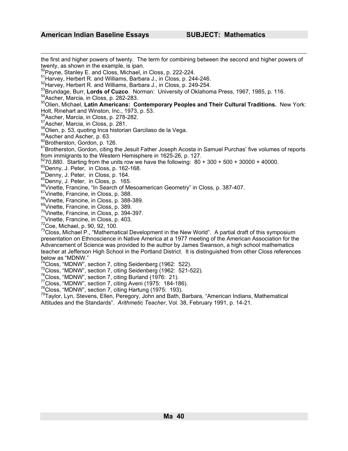the first and higher powers of twenty. The term for combining between the second and higher powers of twenty, as shown in the example, is ipan.<br><sup>50</sup> Payne, Stanley E. and Closs, Michael, in Closs, p. 222-224. <sup>51</sup>Harvey, Herbert R. and Williams, Barbara J., in Closs, p. 244-246.<br><sup>52</sup>Harvey, Herbert R. and Williams, Barbara J., in Closs, p. 249-254.<br><sup>53</sup>Brundage, Burr, **Lords of Cuzco**. Norman: University of Oklahoma Press, 1967 Holt, Rinehart and Winston, Inc., 1973, p. 53.<br><sup>56</sup> Ascher, Marcia, in Closs, p. 278-282. <sup>57</sup>Ascher, Marcia, in Closs, p. 281.<br><sup>58</sup>Olien, p. 53, quoting Inca historian Garcilaso de la Vega.<br><sup>59</sup>Ascher and Ascher, p. 63.<br><sup>60</sup>Brotherston, Gordon, p. 126.<br><sup>61</sup>Brotherston, Gordon, citing the Jesuit Father Joseph from immigrants to the Western Hemisphere in 1625-26, p. 127.<br>  $^{62}_{2}$ 70,880. Starting from the units row we have the following: 80 + 300 + 500 + 30000 + 40000. <sup>63</sup> Denny, J. Peter, in Closs, p. 162-168.<br>
<sup>64</sup> Denny, J. Peter, in Closs, p. 162-168.<br>
<sup>64</sup> Denny, J. Peter, in Closs, p. 164.<br>
<sup>65</sup> Denny, J. Peter, in Closs, p. 165.<br>
<sup>66</sup> Vinette, Francine, in Closs, p. 388.<br>
<sup>66</sup> Vi presentation on Ethnoscience in Native America at a 1977 meeting of the American Association for the Advancement of Science was provided to the author by James Swanson, a high school mathematics teacher at Jefferson High School in the Portland District. It is distinguished from other Closs references below as "MDNW."<br><sup>74</sup>Closs, "MDNW", section 7, citing Seidenberg (1962: 522).  $^{75}$ Closs, "MDNW", section 7, citing Seidenberg (1962: 521-522).<br> $^{76}$ Closs, "MDNW", section 7, citing Seidenberg (1962: 521-522).<br> $^{76}$ Closs, "MDNW", section 7, citing Burland (1976: 21).<br> $^{77}$ Closs, "MDNW", section

Attitudes and the Standards". *Arithmetic Teacher*, Vol. 38, February 1991, p. 14-21.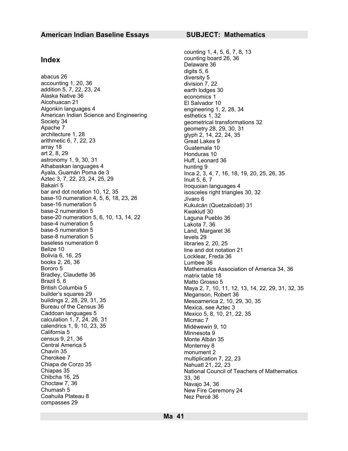abacus 26 diversity 5 accounting 1, 20, 36 division 7, 22 addition 5, 7, 22, 23, 24 earth lodges 30 Alaska Native 36 economics 1 Alcohuacan 21 **El Salvador 10**<br>Algonkin languages 4 **Algonization** engineering 1. American Indian Science and Engineering Society 34 Apache 7<br>architecture 1, 28 architecture 1, 28 arithmetic 6, 7, 22, 23<br>
array 18 Great Lakes 9 array 18<br>art 2, 8, 29 art 2, 8, 29 astronomy 1, 9, 30, 31 Huff, Leonard 36 Athabaskan languages 4 hunting 9 hunting 9 hunting 9 hunting 9 hunting 9 hunting 9 hunting 9 hunting 9 hunting 9 hunting 9 hunting 9 hunting 9 hunting 9 hunting 9 hunting 9 hunting 9 hunting 9 hunting 9 hunting 9 hunting 9 Aztec 3, 7, 22, 23, 24, 25, 29<br>Bakairí 5 Bakairí 5<br>
bar and dot notation 10, 12, 35 Iroquoian languages 4 base-10 numeration 4, 5, 6, 18, 23, 26  $Jívaro 6$ <br>base-16 numeration 5  $Kukulcf$ base-2 numeration 5 Kwakiutl 30 base-20 numeration 5, 6, 10, 13, 14, 22 Laguna Pueblo 36 base-4 numeration 5 Lakota 7, 36<br>
base-5 numeration 5 Land Marga base-8 numeration 5 levels 29 baseless numeration 6 libraries 2, 20, 25<br>Belize 10 line and dot notat Belize 10 line and dot notation 21<br>Bolivia 6, 16, 25 **line and dot notation 21** books 2, 26, 36 **Lumbee 36**<br>Bororo 5 **Lumbee 36** Bradley, Claudette 36 matrix table 18<br>Brazil 5. 6 matrix table 18 Brazil 5, 6 Matto Grosso 5 builder's squares 29 Meganson, Robert 36<br>buildings 2, 28, 29, 31, 35 Mesoamerica 2, 10, 2 Bureau of the Census 36 Mexica, see Aztec 3<br>Caddoan languages 5 Mexico 5, 8, 10, 21, 2 calculation 1, 7, 24, 26, 31 Micmac 7 calendrics 1, 9, 10, 23, 35<br>
California 5<br>
Minnesota 9 census 9, 21, 36 Central America 5 Monterrey 8<br>
Chavín 35 Monterrey 8<br>
monument 2 Chavín 35 monument 2 Chiapa de Corzo 35 **Nahuatl 21, 22, 23**<br>Chiapas 35 National Council of Chibcha 16, 25 33, 36<br>Choctaw 7, 36 33, 36 33, 36 Choctaw 7, 36 Navajo 34, 36 Navajo 34, 36 Navajo 34, 36 Navajo 34, 36 Navajo 34, 36 Navajo 34, 36 Nav Coahuila Plateau 8 Nez Percé 36 compasses 29

counting 1, 4, 5, 6, 7, 8, 13 **Index Index Index Index Index Index Delaware 36** digits 5, 6 engineering  $1, 2, 28, 34$ esthetics 1, 32 geometrical transformations 32 glyph 2, 14, 22, 24, 35 Honduras 10 Inca 2, 3, 4, 7, 16, 18, 19, 20, 25, 26, 35<br>Inuit 5, 6, 7 isosceles right triangles 30, 32 Kukulcán (Quetzalcóatl) 31 Land, Margaret 36 Locklear, Freda 36 Mathematics Association of America 34, 36 British Columbia 5 **Maya 2, 7, 10, 11, 12, 13, 14, 22, 29, 31**, 32, 35 builder's squares 29 **Meganson**, Robert 36 Mesoamerica 2, 10, 29, 30, 35 Mexico 5, 8, 10, 21, 22, 35 Minnesota 9<br>Monte Albán 35 multiplication 7, 22, 23 National Council of Teachers of Mathematics New Fire Ceremony 24